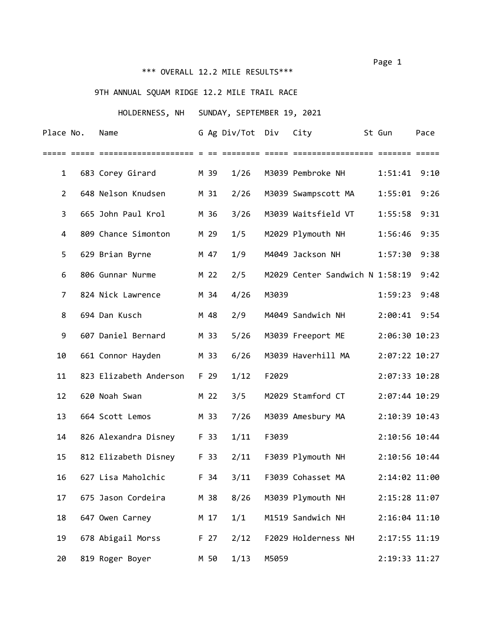# \*\*\* OVERALL 12.2 MILE RESULTS\*\*\*

# 9TH ANNUAL SQUAM RIDGE 12.2 MILE TRAIL RACE

## HOLDERNESS, NH SUNDAY, SEPTEMBER 19, 2021

| Place No.      | Name                   |      | G Ag Div/Tot Div |       | City                            | St Gun         | Pace |
|----------------|------------------------|------|------------------|-------|---------------------------------|----------------|------|
|                |                        |      |                  |       |                                 |                |      |
| $\mathbf{1}$   | 683 Corey Girard       | M 39 | 1/26             |       | M3039 Pembroke NH               | 1:51:41        | 9:10 |
| $\overline{2}$ | 648 Nelson Knudsen     | M 31 | 2/26             |       | M3039 Swampscott MA             | 1:55:01        | 9:26 |
| 3              | 665 John Paul Krol     | M 36 | 3/26             |       | M3039 Waitsfield VT             | 1:55:58        | 9:31 |
| 4              | 809 Chance Simonton    | M 29 | 1/5              |       | M2029 Plymouth NH               | 1:56:46        | 9:35 |
| 5              | 629 Brian Byrne        | M 47 | 1/9              |       | M4049 Jackson NH                | 1:57:30        | 9:38 |
| 6              | 806 Gunnar Nurme       | M 22 | 2/5              |       | M2029 Center Sandwich N 1:58:19 |                | 9:42 |
| 7              | 824 Nick Lawrence      | M 34 | 4/26             | M3039 |                                 | 1:59:23        | 9:48 |
| 8              | 694 Dan Kusch          | M 48 | 2/9              |       | M4049 Sandwich NH               | $2:00:41$ 9:54 |      |
| 9              | 607 Daniel Bernard     | M 33 | 5/26             |       | M3039 Freeport ME               | 2:06:30 10:23  |      |
| 10             | 661 Connor Hayden      | M 33 | 6/26             |       | M3039 Haverhill MA              | 2:07:22 10:27  |      |
| 11             | 823 Elizabeth Anderson | F 29 | 1/12             | F2029 |                                 | 2:07:33 10:28  |      |
| 12             | 620 Noah Swan          | M 22 | 3/5              |       | M2029 Stamford CT               | 2:07:44 10:29  |      |
| 13             | 664 Scott Lemos        | M 33 | 7/26             |       | M3039 Amesbury MA               | 2:10:39 10:43  |      |
| 14             | 826 Alexandra Disney   | F 33 | 1/11             | F3039 |                                 | 2:10:56 10:44  |      |
| 15             | 812 Elizabeth Disney   | F 33 | 2/11             |       | F3039 Plymouth NH               | 2:10:56 10:44  |      |
| 16             | 627 Lisa Maholchic     | F 34 | 3/11             |       | F3039 Cohasset MA               | 2:14:02 11:00  |      |
| 17             | 675 Jason Cordeira     | M 38 | 8/26             |       | M3039 Plymouth NH               | 2:15:28 11:07  |      |
| 18             | 647 Owen Carney        | M 17 | 1/1              |       | M1519 Sandwich NH               | 2:16:04 11:10  |      |
| 19             | 678 Abigail Morss      | F 27 | 2/12             |       | F2029 Holderness NH             | 2:17:55 11:19  |      |
| 20             | 819 Roger Boyer        | M 50 | 1/13             | M5059 |                                 | 2:19:33 11:27  |      |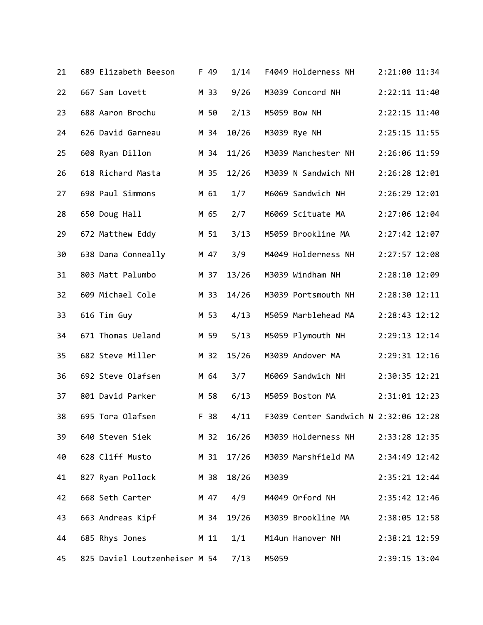| 21 | 689 Elizabeth Beeson               |      | F 49 | 1/14       |       | F4049 Holderness NH                   | 2:21:00 11:34 |  |
|----|------------------------------------|------|------|------------|-------|---------------------------------------|---------------|--|
| 22 | 667 Sam Lovett                     |      | M 33 | 9/26       |       | M3039 Concord NH                      | 2:22:11 11:40 |  |
| 23 | 688 Aaron Brochu                   |      | M 50 | 2/13       |       | M5059 Bow NH                          | 2:22:15 11:40 |  |
| 24 | 626 David Garneau                  |      | M 34 | 10/26      |       | M3039 Rye NH                          | 2:25:15 11:55 |  |
| 25 | 608 Ryan Dillon                    |      | M 34 | 11/26      |       | M3039 Manchester NH                   | 2:26:06 11:59 |  |
| 26 | 618 Richard Masta                  |      | M 35 | 12/26      |       | M3039 N Sandwich NH                   | 2:26:28 12:01 |  |
| 27 | 698 Paul Simmons                   | M 61 |      | 1/7        |       | M6069 Sandwich NH                     | 2:26:29 12:01 |  |
| 28 | 650 Doug Hall                      |      | M 65 | 2/7        |       | M6069 Scituate MA                     | 2:27:06 12:04 |  |
| 29 | 672 Matthew Eddy                   |      | M 51 | 3/13       |       | M5059 Brookline MA                    | 2:27:42 12:07 |  |
| 30 | 638 Dana Conneally                 |      | M 47 | 3/9        |       | M4049 Holderness NH                   | 2:27:57 12:08 |  |
| 31 | 803 Matt Palumbo                   |      | M 37 | 13/26      |       | M3039 Windham NH                      | 2:28:10 12:09 |  |
| 32 | 609 Michael Cole                   |      | M 33 | 14/26      |       | M3039 Portsmouth NH                   | 2:28:30 12:11 |  |
| 33 | 616 Tim Guy                        |      | M 53 | 4/13       |       | M5059 Marblehead MA                   | 2:28:43 12:12 |  |
| 34 | 671 Thomas Ueland                  |      | M 59 | 5/13       |       | M5059 Plymouth NH                     | 2:29:13 12:14 |  |
| 35 | 682 Steve Miller                   |      | M 32 | 15/26      |       | M3039 Andover MA                      | 2:29:31 12:16 |  |
| 36 | 692 Steve Olafsen                  |      | M 64 | 3/7        |       | M6069 Sandwich NH                     | 2:30:35 12:21 |  |
| 37 | 801 David Parker                   |      | M 58 | 6/13       |       | M5059 Boston MA                       | 2:31:01 12:23 |  |
| 38 | 695 Tora Olafsen                   |      | F 38 | 4/11       |       | F3039 Center Sandwich N 2:32:06 12:28 |               |  |
| 39 | 640 Steven Siek                    |      |      |            |       | M 32 16/26 M3039 Holderness NH        | 2:33:28 12:35 |  |
| 40 | 628 Cliff Musto                    |      |      | M 31 17/26 |       | M3039 Marshfield MA                   | 2:34:49 12:42 |  |
| 41 | 827 Ryan Pollock                   | M 38 |      | 18/26      | M3039 |                                       | 2:35:21 12:44 |  |
| 42 | 668 Seth Carter                    |      | M 47 | 4/9        |       | M4049 Orford NH                       | 2:35:42 12:46 |  |
| 43 | 663 Andreas Kipf<br>M 34 19/26     |      |      |            |       | M3039 Brookline MA                    | 2:38:05 12:58 |  |
| 44 | 685 Rhys Jones M 11                |      |      | 1/1        |       | M14un Hanover NH                      | 2:38:21 12:59 |  |
| 45 | 825 Daviel Loutzenheiser M 54 7/13 |      |      |            | M5059 |                                       | 2:39:15 13:04 |  |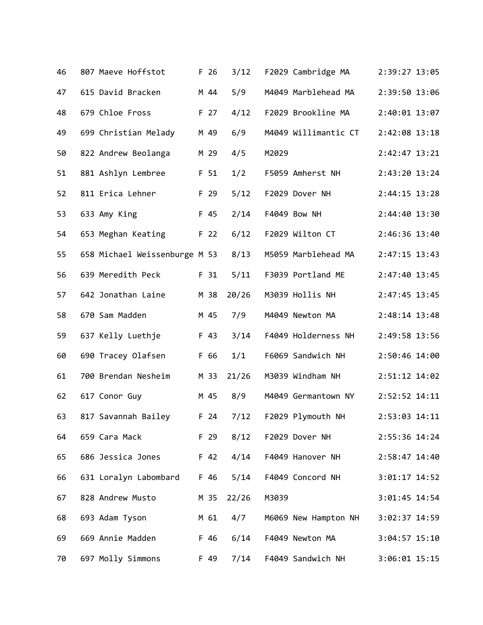| 46 | 807 Maeve Hoffstot            | F 26            | 3/12  |       | F2029 Cambridge MA   | 2:39:27 13:05   |  |
|----|-------------------------------|-----------------|-------|-------|----------------------|-----------------|--|
| 47 | 615 David Bracken             | M 44            | 5/9   |       | M4049 Marblehead MA  | 2:39:50 13:06   |  |
| 48 | 679 Chloe Fross               | F 27            | 4/12  |       | F2029 Brookline MA   | 2:40:01 13:07   |  |
| 49 | 699 Christian Melady          | M 49            | 6/9   |       | M4049 Willimantic CT | 2:42:08 13:18   |  |
| 50 | 822 Andrew Beolanga           | M 29            | 4/5   | M2029 |                      | 2:42:47 13:21   |  |
| 51 | 881 Ashlyn Lembree            | F 51            | 1/2   |       | F5059 Amherst NH     | 2:43:20 13:24   |  |
| 52 | 811 Erica Lehner              | F 29            | 5/12  |       | F2029 Dover NH       | 2:44:15 13:28   |  |
| 53 | 633 Amy King                  | F 45            | 2/14  |       | F4049 Bow NH         | 2:44:40 13:30   |  |
| 54 | 653 Meghan Keating            | F 22            | 6/12  |       | F2029 Wilton CT      | 2:46:36 13:40   |  |
| 55 | 658 Michael Weissenburge M 53 |                 | 8/13  |       | M5059 Marblehead MA  | 2:47:15 13:43   |  |
| 56 | 639 Meredith Peck             | F 31            | 5/11  |       | F3039 Portland ME    | 2:47:40 13:45   |  |
| 57 | 642 Jonathan Laine            | M 38            | 20/26 |       | M3039 Hollis NH      | 2:47:45 13:45   |  |
| 58 | 670 Sam Madden                | M 45            | 7/9   |       | M4049 Newton MA      | 2:48:14 13:48   |  |
| 59 | 637 Kelly Luethje             | F 43            | 3/14  |       | F4049 Holderness NH  | 2:49:58 13:56   |  |
| 60 | 690 Tracey Olafsen            | F 66            | 1/1   |       | F6069 Sandwich NH    | 2:50:46 14:00   |  |
| 61 | 700 Brendan Nesheim           | M 33            | 21/26 |       | M3039 Windham NH     | 2:51:12 14:02   |  |
| 62 | 617 Conor Guy                 | M 45            | 8/9   |       | M4049 Germantown NY  | 2:52:52 14:11   |  |
| 63 | 817 Savannah Bailey           | F <sub>24</sub> | 7/12  |       | F2029 Plymouth NH    | 2:53:03 14:11   |  |
| 64 | 659 Cara Mack                 | F 29            | 8/12  |       | F2029 Dover NH       | 2:55:36 14:24   |  |
| 65 | 686 Jessica Jones             | $F$ 42          | 4/14  |       | F4049 Hanover NH     | 2:58:47 14:40   |  |
| 66 | 631 Loralyn Labombard F 46    |                 | 5/14  |       | F4049 Concord NH     | $3:01:17$ 14:52 |  |
| 67 | 828 Andrew Musto              | M 35            | 22/26 | M3039 |                      | 3:01:45 14:54   |  |
| 68 | 693 Adam Tyson                | M 61            | 4/7   |       | M6069 New Hampton NH | 3:02:37 14:59   |  |
| 69 | 669 Annie Madden              | F 46            | 6/14  |       | F4049 Newton MA      | 3:04:57 15:10   |  |
| 70 | 697 Molly Simmons             | F 49            | 7/14  |       | F4049 Sandwich NH    | $3:06:01$ 15:15 |  |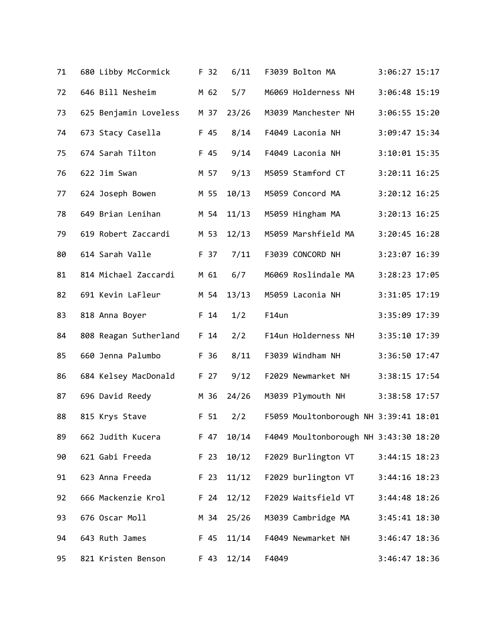| 71 | 680 Libby McCormick           | F 32            | 6/11       | F3039 Bolton MA                       | 3:06:27 15:17     |
|----|-------------------------------|-----------------|------------|---------------------------------------|-------------------|
| 72 | 646 Bill Nesheim              | M 62            | 5/7        | M6069 Holderness NH                   | 3:06:48 15:19     |
| 73 | 625 Benjamin Loveless         | M 37            | 23/26      | M3039 Manchester NH                   | 3:06:55 15:20     |
| 74 | 673 Stacy Casella             | F 45            | 8/14       | F4049 Laconia NH                      | 3:09:47 15:34     |
| 75 | 674 Sarah Tilton              | F 45            | 9/14       | F4049 Laconia NH                      | 3:10:01 15:35     |
| 76 | 622 Jim Swan                  | M 57            | 9/13       | M5059 Stamford CT                     | $3:20:11$ $16:25$ |
| 77 | 624 Joseph Bowen              | M 55            | 10/13      | M5059 Concord MA                      | $3:20:12$ 16:25   |
| 78 | 649 Brian Lenihan             | M 54            | 11/13      | M5059 Hingham MA                      | 3:20:13 16:25     |
| 79 | 619 Robert Zaccardi           | M 53            | 12/13      | M5059 Marshfield MA                   | 3:20:45 16:28     |
| 80 | 614 Sarah Valle               | F 37            | 7/11       | F3039 CONCORD NH                      | 3:23:07 16:39     |
| 81 | 814 Michael Zaccardi          | M 61            | 6/7        | M6069 Roslindale MA                   | 3:28:23 17:05     |
| 82 | 691 Kevin LaFleur             | M 54            | 13/13      | M5059 Laconia NH                      | 3:31:05 17:19     |
| 83 | 818 Anna Boyer                | F 14            | 1/2        | F14un                                 | 3:35:09 17:39     |
| 84 | 808 Reagan Sutherland         | F <sub>14</sub> | 2/2        | F14un Holderness NH                   | 3:35:10 17:39     |
| 85 | 660 Jenna Palumbo             | F 36            | 8/11       | F3039 Windham NH                      | 3:36:50 17:47     |
| 86 | 684 Kelsey MacDonald          | F 27            | 9/12       | F2029 Newmarket NH                    | 3:38:15 17:54     |
| 87 | 696 David Reedy               | M 36            | 24/26      | M3039 Plymouth NH                     | 3:38:58 17:57     |
| 88 | 815 Krys Stave                | F 51            | 2/2        | F5059 Moultonborough NH 3:39:41 18:01 |                   |
| 89 | 662 Judith Kucera             |                 | F 47 10/14 | F4049 Moultonborough NH 3:43:30 18:20 |                   |
| 90 | 621 Gabi Freeda               | F 23            | 10/12      | F2029 Burlington VT                   | 3:44:15 18:23     |
| 91 | 623 Anna Freeda               | F 23            | 11/12      | F2029 burlington VT                   | $3:44:16$ 18:23   |
| 92 | 666 Mackenzie Krol F 24 12/12 |                 |            | F2029 Waitsfield VT                   | 3:44:48 18:26     |
| 93 | 676 Oscar Moll                | M 34            | 25/26      | M3039 Cambridge MA                    | 3:45:41 18:30     |
| 94 | 643 Ruth James                | F 45            | 11/14      | F4049 Newmarket NH                    | 3:46:47 18:36     |
| 95 | 821 Kristen Benson            | F 43            | 12/14      | F4049                                 | 3:46:47 18:36     |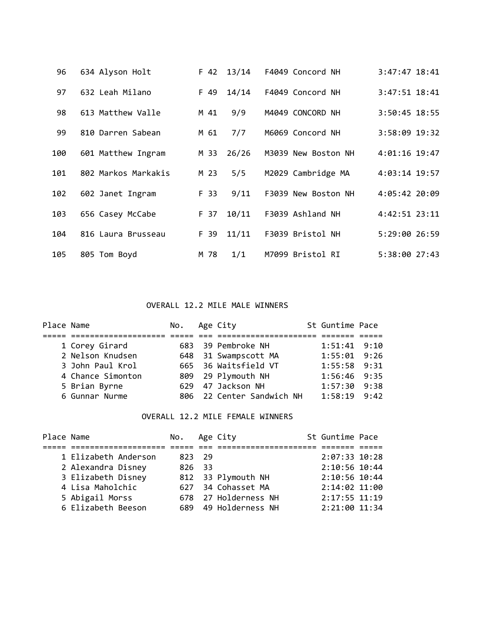| 96  | 634 Alyson Holt     | F 42 | 13/14 | F4049 Concord NH    | $3:47:47$ 18:41 |
|-----|---------------------|------|-------|---------------------|-----------------|
| 97  | 632 Leah Milano     | F 49 | 14/14 | F4049 Concord NH    | 3:47:51 18:41   |
| 98  | 613 Matthew Valle   | M 41 | 9/9   | M4049 CONCORD NH    | 3:50:45 18:55   |
| 99  | 810 Darren Sabean   | M 61 | 7/7   | M6069 Concord NH    | 3:58:09 19:32   |
| 100 | 601 Matthew Ingram  | M 33 | 26/26 | M3039 New Boston NH | 4:01:16 19:47   |
| 101 | 802 Markos Markakis | M 23 | 5/5   | M2029 Cambridge MA  | 4:03:14 19:57   |
| 102 | 602 Janet Ingram    | F 33 | 9/11  | F3039 New Boston NH | 4:05:42 20:09   |
| 103 | 656 Casey McCabe    | F 37 | 10/11 | F3039 Ashland NH    | 4:42:51 23:11   |
| 104 | 816 Laura Brusseau  | F 39 | 11/11 | F3039 Bristol NH    | 5:29:00 26:59   |
| 105 | 805 Tom Boyd        | M 78 | 1/1   | M7099 Bristol RI    | 5:38:00 27:43   |

### OVERALL 12.2 MILE MALE WINNERS

| Place Name |                   | No. Age City |                           | St Guntime Pace  |  |
|------------|-------------------|--------------|---------------------------|------------------|--|
|            |                   |              |                           |                  |  |
|            | 1 Corey Girard    |              | 683 39 Pembroke NH        | $1:51:41$ $9:10$ |  |
|            | 2 Nelson Knudsen  |              | 648 31 Swampscott MA      | $1:55:01$ 9:26   |  |
|            | 3 John Paul Krol  |              | 665 36 Waitsfield VT      | $1:55:58$ 9:31   |  |
|            | 4 Chance Simonton |              | 809 29 Plymouth NH        | $1:56:46$ 9:35   |  |
|            | 5 Brian Byrne     |              | 629 47 Jackson NH         | $1:57:30$ $9:38$ |  |
|            | 6 Gunnar Nurme    |              | 806 22 Center Sandwich NH | $1:58:19$ 9:42   |  |

## OVERALL 12.2 MILE FEMALE WINNERS

| Place Name |                      | No. Age City |                      | St Guntime Pace |  |
|------------|----------------------|--------------|----------------------|-----------------|--|
|            |                      |              |                      |                 |  |
|            | 1 Elizabeth Anderson | 823 29       |                      | 2:07:33 10:28   |  |
|            | 2 Alexandra Disney   | 826 33       |                      | 2:10:56 10:44   |  |
|            | 3 Elizabeth Disney   |              | 812 33 Plymouth NH   | 2:10:56 10:44   |  |
|            | 4 Lisa Maholchic     |              | 627 34 Cohasset MA   | 2:14:02 11:00   |  |
|            | 5 Abigail Morss      |              | 678 27 Holderness NH | 2:17:55 11:19   |  |
|            | 6 Elizabeth Beeson   |              | 689 49 Holderness NH | 2:21:00 11:34   |  |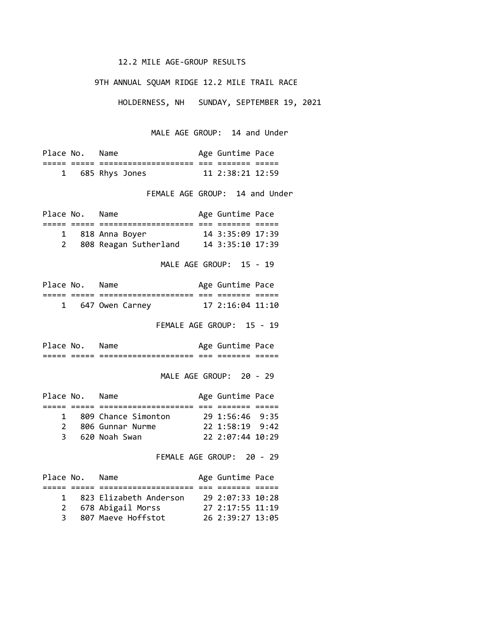### 12.2 MILE AGE-GROUP RESULTS

#### 9TH ANNUAL SQUAM RIDGE 12.2 MILE TRAIL RACE

HOLDERNESS, NH SUNDAY, SEPTEMBER 19, 2021

MALE AGE GROUP: 14 and Under

| Place No. | Name             | Age Guntime Pace       |  |
|-----------|------------------|------------------------|--|
|           |                  |                        |  |
|           | 1 685 Rhys Jones | $11$ $2:38:21$ $12:59$ |  |

FEMALE AGE GROUP: 14 and Under

| Place No. | Name                  | Age Guntime Pace   |  |
|-----------|-----------------------|--------------------|--|
|           |                       |                    |  |
|           | 1 818 Anna Boyer      | $14$ 3:35:09 17:39 |  |
|           | 808 Reagan Sutherland | 14 3:35:10 17:39   |  |

MALE AGE GROUP: 15 - 19

| Place No. | Name            | Age Guntime Pace |  |
|-----------|-----------------|------------------|--|
|           |                 |                  |  |
|           | 647 Owen Carney | 17 2:16:04 11:10 |  |

FEMALE AGE GROUP: 15 - 19

Place No. Name **Age Guntime Pace** ===== ===== ==================== === ======= =====

MALE AGE GROUP: 20 - 29

| Place No.     | Name                | Age Guntime Pace      |  |
|---------------|---------------------|-----------------------|--|
|               |                     |                       |  |
| $\mathbf{1}$  | 809 Chance Simonton | $29\;1:56:46\;9:35$   |  |
| $\mathcal{P}$ | 806 Gunnar Nurme    | $22 \t1:58:19 \t9:42$ |  |
| 3             | 620 Noah Swan       | 22 2:07:44 10:29      |  |

FEMALE AGE GROUP: 20 - 29

| Place No.    | Name                   | Age Guntime Pace |  |
|--------------|------------------------|------------------|--|
|              |                        |                  |  |
| $\mathbf{1}$ | 823 Elizabeth Anderson | 29 2:07:33 10:28 |  |
| 2            | 678 Abigail Morss      | 27 2:17:55 11:19 |  |
| 3.           | 807 Maeve Hoffstot     | 26 2:39:27 13:05 |  |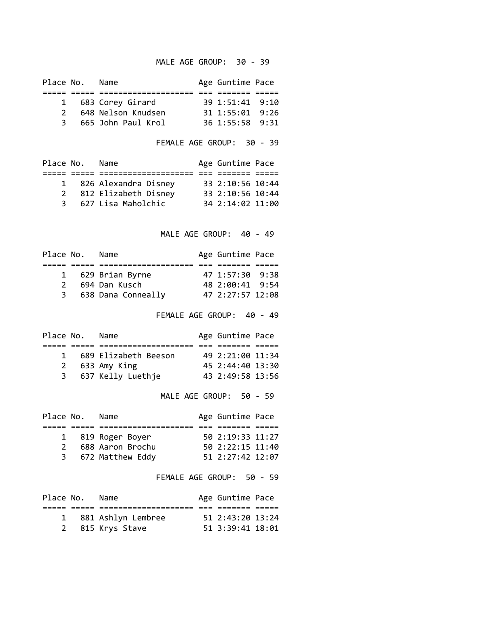### MALE AGE GROUP: 30 - 39

| Place No.     | Name               | Age Guntime Pace      |  |
|---------------|--------------------|-----------------------|--|
|               |                    |                       |  |
|               | 1 683 Corey Girard | 39 1:51:41 9:10       |  |
| $\mathcal{P}$ | 648 Nelson Knudsen | $31 \t1:55:01 \t9:26$ |  |
| २ ।           | 665 John Paul Krol | 36 1:55:58 9:31       |  |

FEMALE AGE GROUP: 30 - 39

| Place No.    | Name                 | Age Guntime Pace |  |
|--------------|----------------------|------------------|--|
|              |                      |                  |  |
| $\mathbf{1}$ | 826 Alexandra Disney | 33 2:10:56 10:44 |  |
| 2            | 812 Elizabeth Disney | 33 2:10:56 10:44 |  |
| 3            | 627 Lisa Maholchic   | 34 2:14:02 11:00 |  |
|              |                      |                  |  |

MALE AGE GROUP: 40 - 49

| Place No.     | Name                 | Age Guntime Pace  |  |
|---------------|----------------------|-------------------|--|
|               |                      |                   |  |
|               | 1 629 Brian Byrne    | 47, 1:57:30, 9:38 |  |
| $\mathcal{P}$ | 694 Dan Kusch        | 48 2:00:41 9:54   |  |
|               | 3 638 Dana Conneally | 47 2:27:57 12:08  |  |

FEMALE AGE GROUP: 40 - 49

| Place No.    | Name                 | Age Guntime Pace |  |
|--------------|----------------------|------------------|--|
|              |                      |                  |  |
| $\mathbf{1}$ | 689 Elizabeth Beeson | 49 2:21:00 11:34 |  |
| 2            | 633 Amy King         | 45 2:44:40 13:30 |  |
|              | 3 637 Kelly Luethje  | 43 2:49:58 13:56 |  |

MALE AGE GROUP: 50 - 59

| Place No.     | Name              | Age Guntime Pace |  |
|---------------|-------------------|------------------|--|
|               |                   |                  |  |
|               | 1 819 Roger Boyer | 50 2:19:33 11:27 |  |
| $\mathcal{P}$ | 688 Aaron Brochu  | 50 2:22:15 11:40 |  |
| 3             | 672 Matthew Eddy  | 51 2:27:42 12:07 |  |

FEMALE AGE GROUP: 50 - 59

| Place No. | Name                 | Age Guntime Pace |  |
|-----------|----------------------|------------------|--|
|           |                      |                  |  |
|           | 1 881 Ashlyn Lembree | 51 2:43:20 13:24 |  |
|           | 2 815 Krys Stave     | 51 3:39:41 18:01 |  |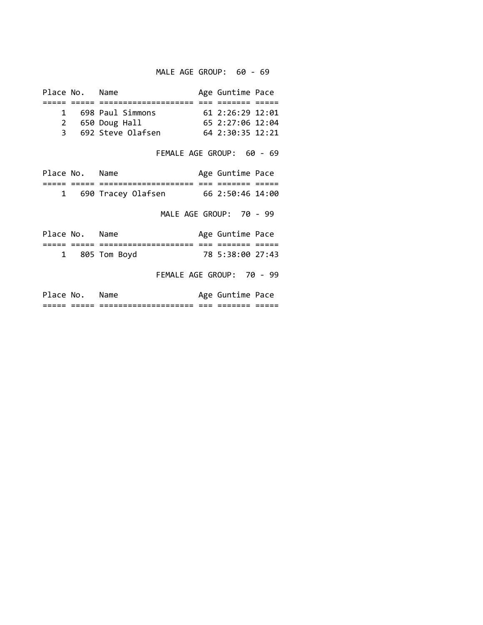MALE AGE GROUP: 60 - 69

| Place No. | Name                | Age Guntime Pace       |  |
|-----------|---------------------|------------------------|--|
|           |                     |                        |  |
|           | 1 698 Paul Simmons  | $61$ $2:26:29$ $12:01$ |  |
|           | 2 650 Doug Hall     | 652:27:0612:04         |  |
|           | 3 692 Steve Olafsen | $64$ 2:30:35 12:21     |  |
|           |                     |                        |  |

FEMALE AGE GROUP: 60 - 69

| Place No. | Name               | Age Guntime Pace |  |
|-----------|--------------------|------------------|--|
|           |                    |                  |  |
|           | 690 Tracey Olafsen | 66 2:50:46 14:00 |  |

MALE AGE GROUP: 70 - 99

| Place No. | Name           | Age Guntime Pace |  |
|-----------|----------------|------------------|--|
|           |                |                  |  |
|           | 1 805 Tom Boyd | 78 5:38:00 27:43 |  |

FEMALE AGE GROUP: 70 - 99

|     | Place No.            | Name                                         |            | Age Guntime Pace        |       |  |
|-----|----------------------|----------------------------------------------|------------|-------------------------|-------|--|
| ___ | __<br>$  -$<br>_____ | ____________________<br>____________________ | ___<br>___ | ___<br>_____<br>_______ | $  -$ |  |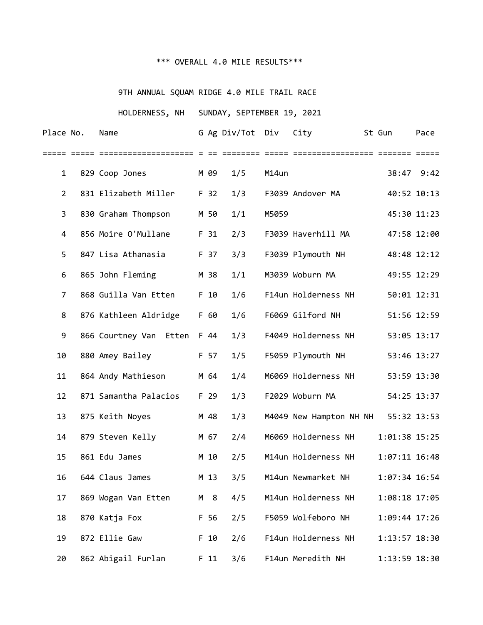# \*\*\* OVERALL 4.0 MILE RESULTS\*\*\*

# 9TH ANNUAL SQUAM RIDGE 4.0 MILE TRAIL RACE

# HOLDERNESS, NH SUNDAY, SEPTEMBER 19, 2021

| Place No.      | Name                   |        | G Ag Div/Tot Div |       | City                    | St Gun            | Pace        |
|----------------|------------------------|--------|------------------|-------|-------------------------|-------------------|-------------|
|                |                        |        |                  |       |                         |                   |             |
| $\mathbf{1}$   | 829 Coop Jones         | M 09   | 1/5              | M14un |                         |                   | 38:47 9:42  |
| $\overline{2}$ | 831 Elizabeth Miller   | F 32   | 1/3              |       | F3039 Andover MA        |                   | 40:52 10:13 |
| 3              | 830 Graham Thompson    | M 50   | 1/1              | M5059 |                         |                   | 45:30 11:23 |
| 4              | 856 Moire O'Mullane    | F 31   | 2/3              |       | F3039 Haverhill MA      |                   | 47:58 12:00 |
| 5              | 847 Lisa Athanasia     | F 37   | 3/3              |       | F3039 Plymouth NH       |                   | 48:48 12:12 |
| 6              | 865 John Fleming       | M 38   | 1/1              |       | M3039 Woburn MA         |                   | 49:55 12:29 |
| 7              | 868 Guilla Van Etten   | F 10   | 1/6              |       | F14un Holderness NH     |                   | 50:01 12:31 |
| 8              | 876 Kathleen Aldridge  | F 60   | 1/6              |       | F6069 Gilford NH        |                   | 51:56 12:59 |
| 9              | 866 Courtney Van Etten | F 44   | 1/3              |       | F4049 Holderness NH     |                   | 53:05 13:17 |
| 10             | 880 Amey Bailey        | F 57   | 1/5              |       | F5059 Plymouth NH       |                   | 53:46 13:27 |
| 11             | 864 Andy Mathieson     | M 64   | 1/4              |       | M6069 Holderness NH     |                   | 53:59 13:30 |
| 12             | 871 Samantha Palacios  | F 29   | 1/3              |       | F2029 Woburn MA         |                   | 54:25 13:37 |
| 13             | 875 Keith Noyes        | M 48   | 1/3              |       | M4049 New Hampton NH NH |                   | 55:32 13:53 |
| 14             | 879 Steven Kelly       | M 67   | 2/4              |       | M6069 Holderness NH     | 1:01:38 15:25     |             |
| 15             | 861 Edu James          | M 10   | 2/5              |       | M14un Holderness NH     | $1:07:11$ $16:48$ |             |
| 16             | 644 Claus James        | M 13   | 3/5              |       | M14un Newmarket NH      | 1:07:34 16:54     |             |
| 17             | 869 Wogan Van Etten    | M 8    | 4/5              |       | M14un Holderness NH     | 1:08:18 17:05     |             |
| 18             | 870 Katja Fox          | F 56   | 2/5              |       | F5059 Wolfeboro NH      | 1:09:44 17:26     |             |
| 19             | 872 Ellie Gaw          | F 10   | 2/6              |       | F14un Holderness NH     | 1:13:57 18:30     |             |
| 20             | 862 Abigail Furlan     | $F$ 11 | 3/6              |       | F14un Meredith NH       | 1:13:59 18:30     |             |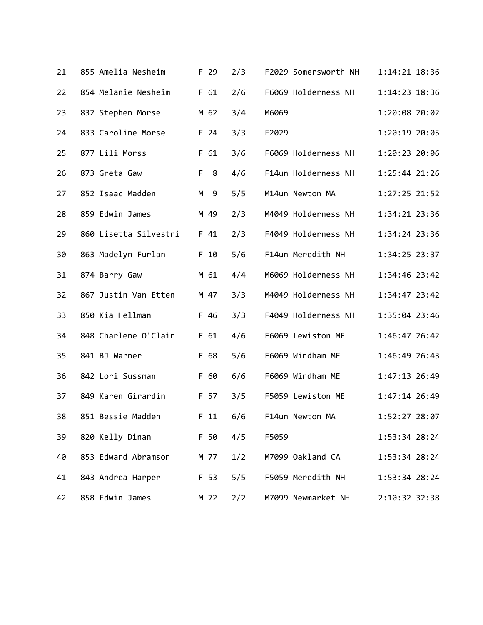| 21 | 855 Amelia Nesheim    | F 29    | 2/3 | F2029 Somersworth NH | 1:14:21 18:36 |
|----|-----------------------|---------|-----|----------------------|---------------|
| 22 | 854 Melanie Nesheim   | F 61    | 2/6 | F6069 Holderness NH  | 1:14:23 18:36 |
| 23 | 832 Stephen Morse     | M 62    | 3/4 | M6069                | 1:20:08 20:02 |
| 24 | 833 Caroline Morse    | F 24    | 3/3 | F2029                | 1:20:19 20:05 |
| 25 | 877 Lili Morss        | F 61    | 3/6 | F6069 Holderness NH  | 1:20:23 20:06 |
| 26 | 873 Greta Gaw         | F.<br>8 | 4/6 | F14un Holderness NH  | 1:25:44 21:26 |
| 27 | 852 Isaac Madden      | M<br>9  | 5/5 | M14un Newton MA      | 1:27:25 21:52 |
| 28 | 859 Edwin James       | M 49    | 2/3 | M4049 Holderness NH  | 1:34:21 23:36 |
| 29 | 860 Lisetta Silvestri | F 41    | 2/3 | F4049 Holderness NH  | 1:34:24 23:36 |
| 30 | 863 Madelyn Furlan    | F 10    | 5/6 | F14un Meredith NH    | 1:34:25 23:37 |
| 31 | 874 Barry Gaw         | M 61    | 4/4 | M6069 Holderness NH  | 1:34:46 23:42 |
| 32 | 867 Justin Van Etten  | M 47    | 3/3 | M4049 Holderness NH  | 1:34:47 23:42 |
| 33 | 850 Kia Hellman       | F 46    | 3/3 | F4049 Holderness NH  | 1:35:04 23:46 |
| 34 | 848 Charlene O'Clair  | F 61    | 4/6 | F6069 Lewiston ME    | 1:46:47 26:42 |
| 35 | 841 BJ Warner         | F 68    | 5/6 | F6069 Windham ME     | 1:46:49 26:43 |
| 36 | 842 Lori Sussman      | F 60    | 6/6 | F6069 Windham ME     | 1:47:13 26:49 |
| 37 | 849 Karen Girardin    | F 57    | 3/5 | F5059 Lewiston ME    | 1:47:14 26:49 |
| 38 | 851 Bessie Madden     | $F$ 11  | 6/6 | F14un Newton MA      | 1:52:27 28:07 |
| 39 | 820 Kelly Dinan       | F 50    | 4/5 | F5059                | 1:53:34 28:24 |
| 40 | 853 Edward Abramson   | M 77    | 1/2 | M7099 Oakland CA     | 1:53:34 28:24 |
| 41 | 843 Andrea Harper     | F 53    | 5/5 | F5059 Meredith NH    | 1:53:34 28:24 |
| 42 | 858 Edwin James       | M 72    | 2/2 | M7099 Newmarket NH   | 2:10:32 32:38 |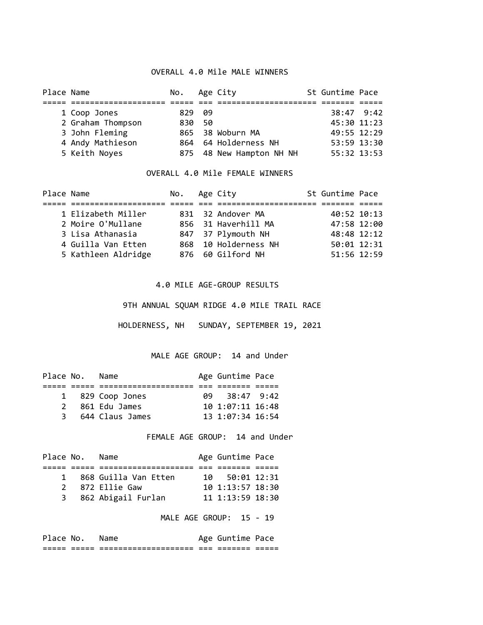### OVERALL 4.0 Mile MALE WINNERS

| Place Name |                   | No. Age City |        |                          | St Guntime Pace |  |
|------------|-------------------|--------------|--------|--------------------------|-----------------|--|
|            |                   |              |        |                          |                 |  |
|            | 1 Coop Jones      | 829 09       |        |                          | 38:47 9:42      |  |
|            | 2 Graham Thompson |              | 830 50 |                          | 45:30 11:23     |  |
|            | 3 John Fleming    |              |        | 865 38 Woburn MA         | 49:55 12:29     |  |
|            | 4 Andy Mathieson  |              |        | 864 64 Holderness NH     | 53:59 13:30     |  |
|            | 5 Keith Noyes     |              |        | 875 48 New Hampton NH NH | 55:32 13:53     |  |

#### OVERALL 4.0 Mile FEMALE WINNERS

| Place Name |                     | No. Age City |                      | St Guntime Pace |  |
|------------|---------------------|--------------|----------------------|-----------------|--|
|            |                     |              |                      |                 |  |
|            | 1 Elizabeth Miller  |              | 831 32 Andover MA    | 40:52 10:13     |  |
|            | 2 Moire O'Mullane   |              | 856 31 Haverhill MA  | 47:58 12:00     |  |
|            | 3 Lisa Athanasia    |              | 847 37 Plymouth NH   | 48:48 12:12     |  |
|            | 4 Guilla Van Etten  |              | 868 10 Holderness NH | 50:01 12:31     |  |
|            | 5 Kathleen Aldridge |              | 876 60 Gilford NH    | 51:56 12:59     |  |

#### 4.0 MILE AGE-GROUP RESULTS

9TH ANNUAL SQUAM RIDGE 4.0 MILE TRAIL RACE

HOLDERNESS, NH SUNDAY, SEPTEMBER 19, 2021

MALE AGE GROUP: 14 and Under

| Place No. | Name |                                                        |           |                                                                                  |
|-----------|------|--------------------------------------------------------|-----------|----------------------------------------------------------------------------------|
|           |      |                                                        |           |                                                                                  |
|           |      |                                                        |           |                                                                                  |
|           |      |                                                        |           |                                                                                  |
| 3         |      |                                                        |           |                                                                                  |
|           |      | 1 829 Coop Jones<br>2 861 Edu James<br>644 Claus James | <b>A9</b> | Age Guntime Pace<br>$38:47$ 9:42<br>$10$ $1:07:11$ $16:48$<br>13, 1:07:34, 16:54 |

FEMALE AGE GROUP: 14 and Under

| Place No.     | Name                 |    | Age Guntime Pace       |  |
|---------------|----------------------|----|------------------------|--|
|               |                      |    |                        |  |
| $\mathbf{1}$  | 868 Guilla Van Etten | 10 | 50:01 12:31            |  |
| $\mathcal{P}$ | 872 Ellie Gaw        |    | 10 1:13:57 18:30       |  |
|               | 3 862 Abigail Furlan |    | $11$ $1:13:59$ $18:30$ |  |

MALE AGE GROUP: 15 - 19

|       | Place No. Name |                                              |     | Age Guntime Pace |  |
|-------|----------------|----------------------------------------------|-----|------------------|--|
| _____ | ___<br>____    | ____________________<br>____________________ | ___ | _____<br>_______ |  |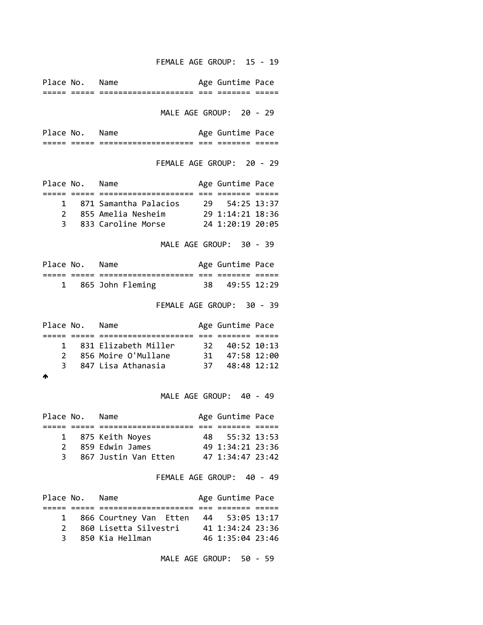FEMALE AGE GROUP: 15 - 19

Place No. Name **Age Guntime Pace** ===== ===== ==================== === ======= ===== MALE AGE GROUP: 20 - 29 Place No. Name Age Guntime Pace ===== ===== ==================== === ======= ===== FEMALE AGE GROUP: 20 - 29 Place No. Name Age Guntime Pace ===== ===== ==================== === ======= ===== 1 871 Samantha Palacios 29 54:25 13:37 2 855 Amelia Nesheim 29 1:14:21 18:36 3 833 Caroline Morse 24 1:20:19 20:05 MALE AGE GROUP: 30 - 39 Place No. Name Age Guntime Pace ===== ===== ==================== === ======= ===== 1 865 John Fleming 38 49:55 12:29 FEMALE AGE GROUP: 30 - 39 Place No. Name **Age Guntime Pace** ===== ===== ==================== === ======= ===== 1 831 Elizabeth Miller 32 40:52 10:13 2 856 Moire O'Mullane 31 47:58 12:00 3 847 Lisa Athanasia 37 48:48 12:12 ♠ MALE AGE GROUP: 40 - 49 Place No. Name **Age Guntime Pace** ===== ===== ==================== === ======= ===== 1 875 Keith Noyes 48 55:32 13:53 2 859 Edwin James 49 1:34:21 23:36 3 867 Justin Van Etten 47 1:34:47 23:42 FEMALE AGE GROUP: 40 - 49 Place No. Name **Age Guntime Pace** ===== ===== ==================== === ======= ===== 1 866 Courtney Van Etten 44 53:05 13:17 2 860 Lisetta Silvestri 41 1:34:24 23:36 3 850 Kia Hellman 46 1:35:04 23:46

MALE AGE GROUP: 50 - 59